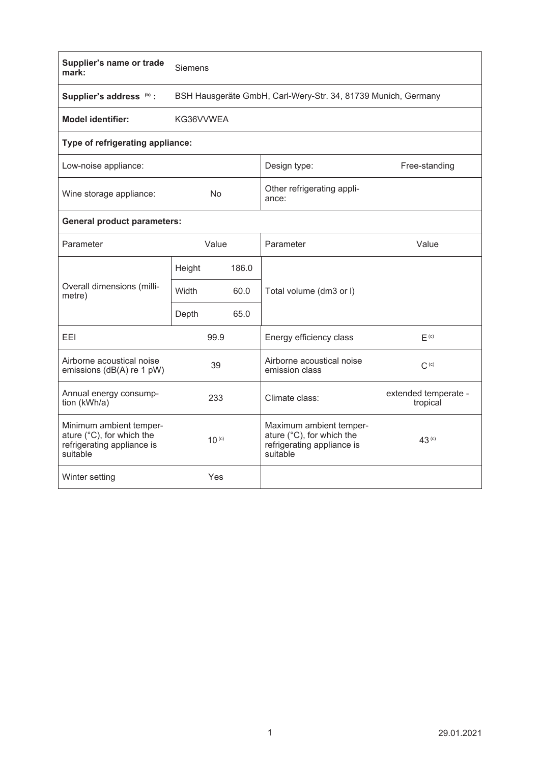| Supplier's name or trade<br>mark:                                                              | Siemens                                                       |       |                                                                                                |                                  |  |  |  |  |  |
|------------------------------------------------------------------------------------------------|---------------------------------------------------------------|-------|------------------------------------------------------------------------------------------------|----------------------------------|--|--|--|--|--|
| Supplier's address (b) :                                                                       | BSH Hausgeräte GmbH, Carl-Wery-Str. 34, 81739 Munich, Germany |       |                                                                                                |                                  |  |  |  |  |  |
| <b>Model identifier:</b>                                                                       | KG36VVWEA                                                     |       |                                                                                                |                                  |  |  |  |  |  |
| Type of refrigerating appliance:                                                               |                                                               |       |                                                                                                |                                  |  |  |  |  |  |
| Low-noise appliance:                                                                           |                                                               |       | Design type:                                                                                   | Free-standing                    |  |  |  |  |  |
| Wine storage appliance:                                                                        | <b>No</b>                                                     |       | Other refrigerating appli-<br>ance:                                                            |                                  |  |  |  |  |  |
| <b>General product parameters:</b>                                                             |                                                               |       |                                                                                                |                                  |  |  |  |  |  |
| Parameter                                                                                      | Value                                                         |       | Parameter                                                                                      | Value                            |  |  |  |  |  |
| Overall dimensions (milli-<br>metre)                                                           | Height                                                        | 186.0 |                                                                                                |                                  |  |  |  |  |  |
|                                                                                                | Width<br>60.0                                                 |       | Total volume (dm3 or I)                                                                        |                                  |  |  |  |  |  |
|                                                                                                | Depth                                                         | 65.0  |                                                                                                |                                  |  |  |  |  |  |
| FFI                                                                                            | 99.9                                                          |       | Energy efficiency class                                                                        | F <sub>(c)</sub>                 |  |  |  |  |  |
| Airborne acoustical noise<br>emissions (dB(A) re 1 pW)                                         | 39                                                            |       | Airborne acoustical noise<br>emission class                                                    | $C^{(c)}$                        |  |  |  |  |  |
| Annual energy consump-<br>tion (kWh/a)                                                         | 233                                                           |       | Climate class:                                                                                 | extended temperate -<br>tropical |  |  |  |  |  |
| Minimum ambient temper-<br>ature (°C), for which the<br>refrigerating appliance is<br>suitable | $10^{(c)}$                                                    |       | Maximum ambient temper-<br>ature (°C), for which the<br>refrigerating appliance is<br>suitable | 43 <sup>(c)</sup>                |  |  |  |  |  |
| Winter setting                                                                                 | Yes                                                           |       |                                                                                                |                                  |  |  |  |  |  |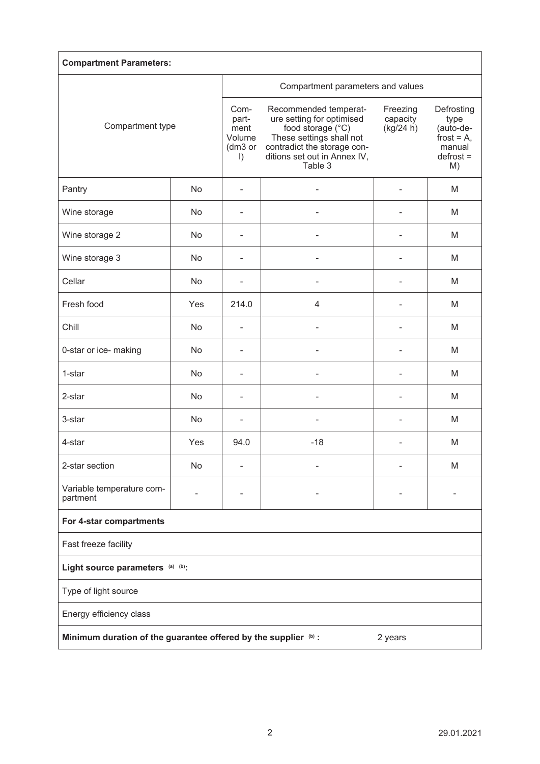| <b>Compartment Parameters:</b>                                             |     |                                                       |                                                                                                                                                                               |                                   |                                                                                 |  |  |  |
|----------------------------------------------------------------------------|-----|-------------------------------------------------------|-------------------------------------------------------------------------------------------------------------------------------------------------------------------------------|-----------------------------------|---------------------------------------------------------------------------------|--|--|--|
| Compartment type                                                           |     | Compartment parameters and values                     |                                                                                                                                                                               |                                   |                                                                                 |  |  |  |
|                                                                            |     | Com-<br>part-<br>ment<br>Volume<br>(dm3 or<br>$\vert$ | Recommended temperat-<br>ure setting for optimised<br>food storage (°C)<br>These settings shall not<br>contradict the storage con-<br>ditions set out in Annex IV,<br>Table 3 | Freezing<br>capacity<br>(kg/24 h) | Defrosting<br>type<br>(auto-de-<br>frost = $A$ ,<br>manual<br>$defrost =$<br>M) |  |  |  |
| Pantry                                                                     | No  | ٠                                                     |                                                                                                                                                                               |                                   | M                                                                               |  |  |  |
| Wine storage                                                               | No  |                                                       |                                                                                                                                                                               |                                   | M                                                                               |  |  |  |
| Wine storage 2                                                             | No  |                                                       |                                                                                                                                                                               |                                   | M                                                                               |  |  |  |
| Wine storage 3                                                             | No  | $\blacksquare$                                        |                                                                                                                                                                               | ٠                                 | M                                                                               |  |  |  |
| Cellar                                                                     | No  | $\blacksquare$                                        |                                                                                                                                                                               |                                   | M                                                                               |  |  |  |
| Fresh food                                                                 | Yes | 214.0                                                 | $\overline{4}$                                                                                                                                                                |                                   | M                                                                               |  |  |  |
| Chill                                                                      | No  | $\blacksquare$                                        | L,                                                                                                                                                                            | $\overline{\phantom{0}}$          | M                                                                               |  |  |  |
| 0-star or ice- making                                                      | No  | $\overline{\phantom{0}}$                              |                                                                                                                                                                               |                                   | M                                                                               |  |  |  |
| 1-star                                                                     | No  |                                                       |                                                                                                                                                                               |                                   | M                                                                               |  |  |  |
| 2-star                                                                     | No  |                                                       |                                                                                                                                                                               |                                   | М                                                                               |  |  |  |
| 3-star                                                                     | No  |                                                       |                                                                                                                                                                               |                                   | M                                                                               |  |  |  |
| 4-star                                                                     | Yes | 94.0                                                  | $-18$                                                                                                                                                                         | ٠                                 | M                                                                               |  |  |  |
| 2-star section                                                             | No  |                                                       |                                                                                                                                                                               |                                   | M                                                                               |  |  |  |
| Variable temperature com-<br>partment                                      |     |                                                       |                                                                                                                                                                               |                                   |                                                                                 |  |  |  |
| For 4-star compartments                                                    |     |                                                       |                                                                                                                                                                               |                                   |                                                                                 |  |  |  |
| Fast freeze facility                                                       |     |                                                       |                                                                                                                                                                               |                                   |                                                                                 |  |  |  |
| Light source parameters (a) (b):                                           |     |                                                       |                                                                                                                                                                               |                                   |                                                                                 |  |  |  |
| Type of light source                                                       |     |                                                       |                                                                                                                                                                               |                                   |                                                                                 |  |  |  |
| Energy efficiency class                                                    |     |                                                       |                                                                                                                                                                               |                                   |                                                                                 |  |  |  |
| Minimum duration of the guarantee offered by the supplier (b) :<br>2 years |     |                                                       |                                                                                                                                                                               |                                   |                                                                                 |  |  |  |